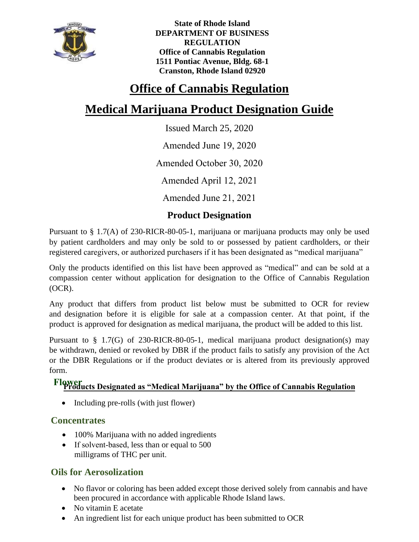

**State of Rhode Island DEPARTMENT OF BUSINESS REGULATION Office of Cannabis Regulation 1511 Pontiac Avenue, Bldg. 68-1 Cranston, Rhode Island 02920** 

## **Office of Cannabis Regulation**

# **Medical Marijuana Product Designation Guide**

Issued March 25, 2020

Amended June 19, 2020

Amended October 30, 2020

Amended April 12, 2021

Amended June 21, 2021

## **Product Designation**

Pursuant to § 1.7(A) of 230-RICR-80-05-1, marijuana or marijuana products may only be used by patient cardholders and may only be sold to or possessed by patient cardholders, or their registered caregivers, or authorized purchasers if it has been designated as "medical marijuana"

Only the products identified on this list have been approved as "medical" and can be sold at a compassion center without application for designation to the Office of Cannabis Regulation (OCR).

Any product that differs from product list below must be submitted to OCR for review and designation before it is eligible for sale at a compassion center. At that point, if the product is approved for designation as medical marijuana, the product will be added to this list.

Pursuant to § 1.7(G) of 230-RICR-80-05-1, medical marijuana product designation(s) may be withdrawn, denied or revoked by DBR if the product fails to satisfy any provision of the Act or the DBR Regulations or if the product deviates or is altered from its previously approved form.

# **Products Designated as "Medical Marijuana" by the Office of Cannabis Regulation Flower**

• Including pre-rolls (with just flower)

#### **Concentrates**

- 100% Marijuana with no added ingredients
- If solvent-based, less than or equal to 500 milligrams of THC per unit.

### **Oils for Aerosolization**

- No flavor or coloring has been added except those derived solely from cannabis and have been procured in accordance with applicable Rhode Island laws.
- No vitamin E acetate
- An ingredient list for each unique product has been submitted to OCR